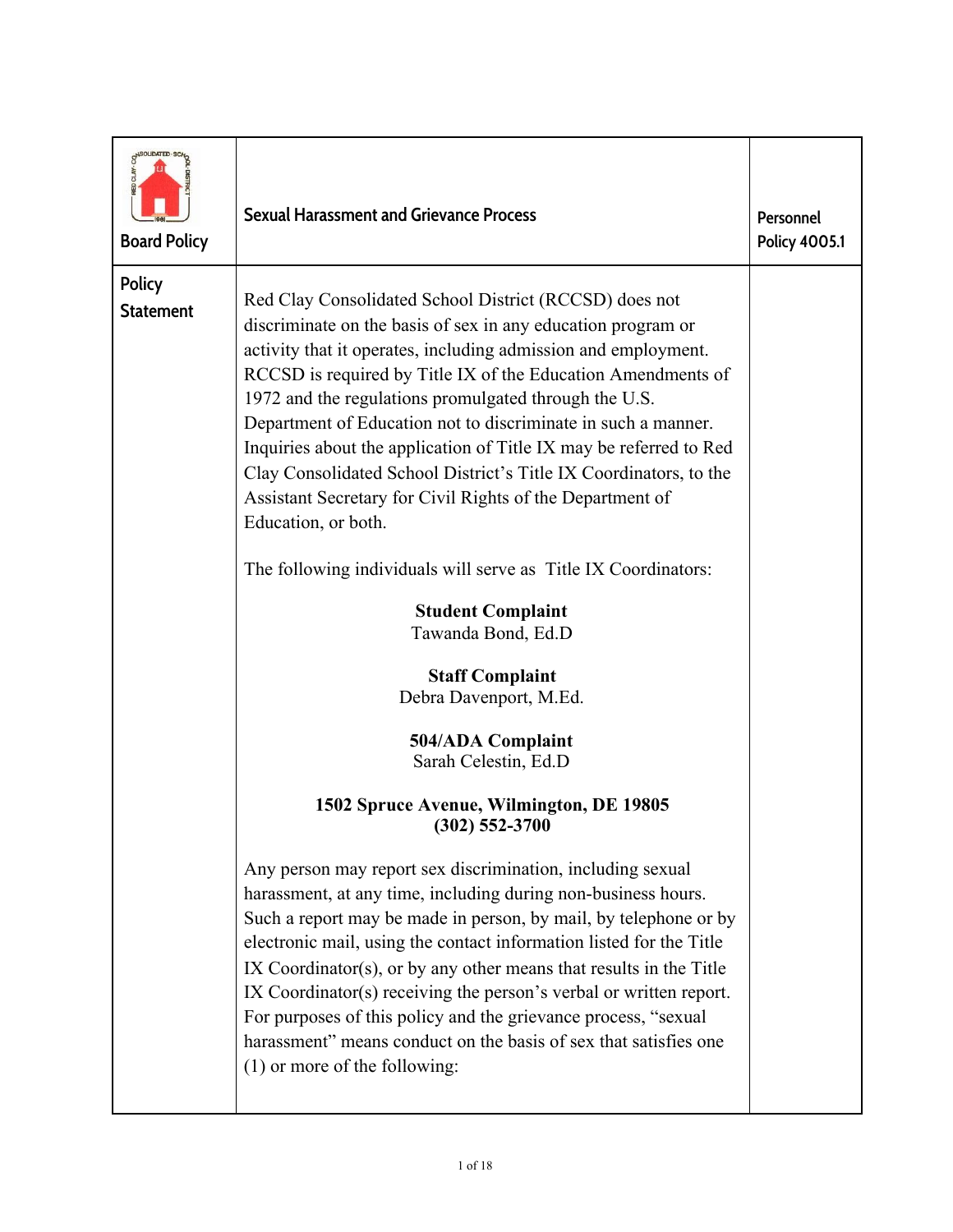| MSOLIDATED .SC<br><b>Board Policy</b> | <b>Sexual Harassment and Grievance Process</b>                                                                                                                                                                                                                                                                                                                                                                                                                                                                                                                                                                                                                                                                                                                                                                                         | Personnel<br>Policy 4005.1 |
|---------------------------------------|----------------------------------------------------------------------------------------------------------------------------------------------------------------------------------------------------------------------------------------------------------------------------------------------------------------------------------------------------------------------------------------------------------------------------------------------------------------------------------------------------------------------------------------------------------------------------------------------------------------------------------------------------------------------------------------------------------------------------------------------------------------------------------------------------------------------------------------|----------------------------|
| Policy<br><b>Statement</b>            | Red Clay Consolidated School District (RCCSD) does not<br>discriminate on the basis of sex in any education program or<br>activity that it operates, including admission and employment.<br>RCCSD is required by Title IX of the Education Amendments of<br>1972 and the regulations promulgated through the U.S.<br>Department of Education not to discriminate in such a manner.<br>Inquiries about the application of Title IX may be referred to Red<br>Clay Consolidated School District's Title IX Coordinators, to the<br>Assistant Secretary for Civil Rights of the Department of<br>Education, or both.<br>The following individuals will serve as Title IX Coordinators:<br><b>Student Complaint</b><br>Tawanda Bond, Ed.D<br><b>Staff Complaint</b><br>Debra Davenport, M.Ed.<br>504/ADA Complaint<br>Sarah Celestin, Ed.D |                            |
|                                       | 1502 Spruce Avenue, Wilmington, DE 19805<br>$(302)$ 552-3700<br>Any person may report sex discrimination, including sexual<br>harassment, at any time, including during non-business hours.<br>Such a report may be made in person, by mail, by telephone or by<br>electronic mail, using the contact information listed for the Title<br>$IX$ Coordinator(s), or by any other means that results in the Title<br>IX Coordinator(s) receiving the person's verbal or written report.<br>For purposes of this policy and the grievance process, "sexual<br>harassment" means conduct on the basis of sex that satisfies one<br>$(1)$ or more of the following:                                                                                                                                                                          |                            |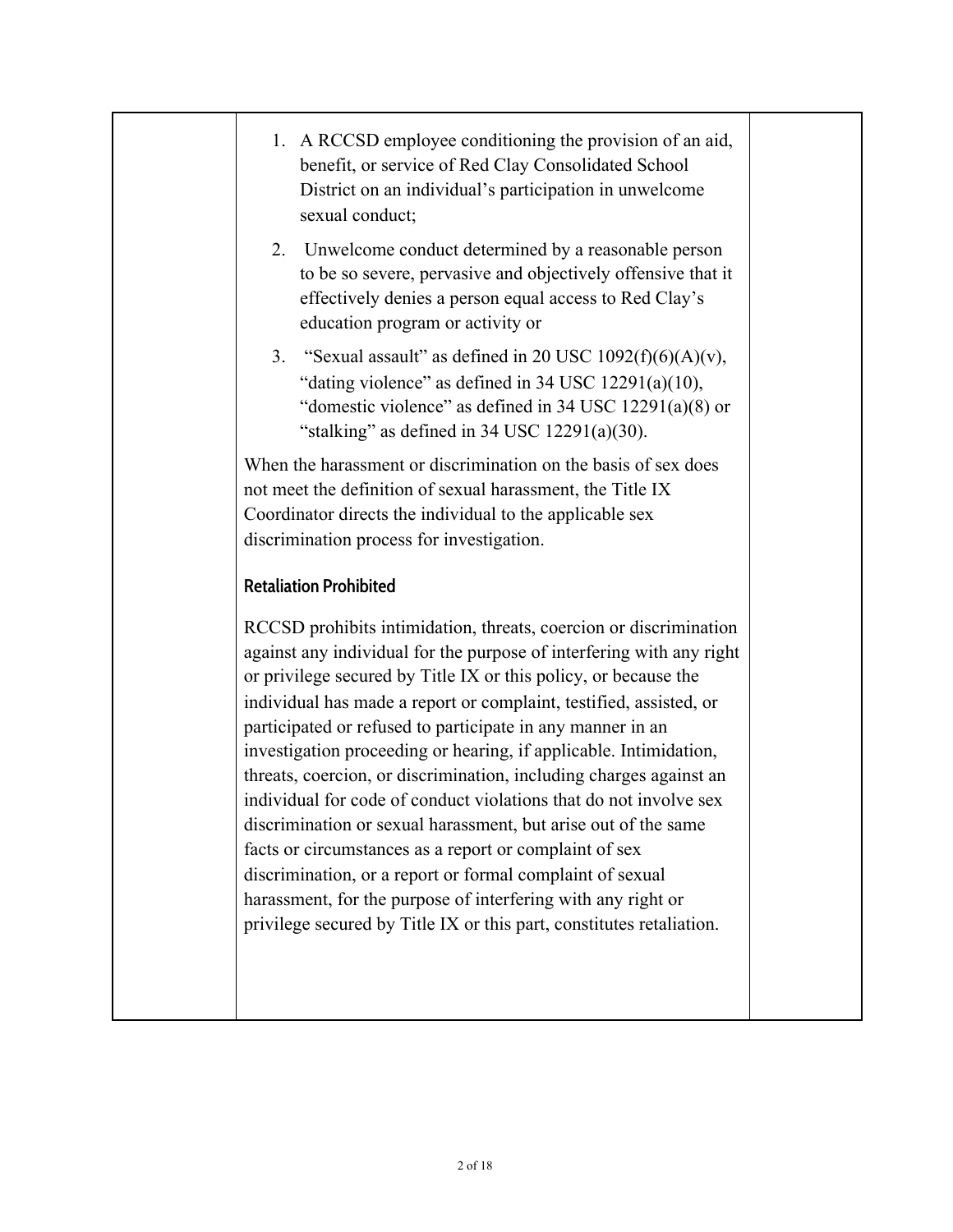| 1. A RCCSD employee conditioning the provision of an aid,<br>benefit, or service of Red Clay Consolidated School<br>District on an individual's participation in unwelcome<br>sexual conduct;                                                                                                                                                                                                                                                                                                                                                                                                                                                                                                                                                                                                                                                                                                     |  |
|---------------------------------------------------------------------------------------------------------------------------------------------------------------------------------------------------------------------------------------------------------------------------------------------------------------------------------------------------------------------------------------------------------------------------------------------------------------------------------------------------------------------------------------------------------------------------------------------------------------------------------------------------------------------------------------------------------------------------------------------------------------------------------------------------------------------------------------------------------------------------------------------------|--|
| Unwelcome conduct determined by a reasonable person<br>2.<br>to be so severe, pervasive and objectively offensive that it<br>effectively denies a person equal access to Red Clay's<br>education program or activity or                                                                                                                                                                                                                                                                                                                                                                                                                                                                                                                                                                                                                                                                           |  |
| 3. "Sexual assault" as defined in 20 USC 1092(f)(6)(A)(v),<br>"dating violence" as defined in $34$ USC $12291(a)(10)$ ,<br>"domestic violence" as defined in 34 USC $12291(a)(8)$ or<br>"stalking" as defined in $34$ USC $12291(a)(30)$ .                                                                                                                                                                                                                                                                                                                                                                                                                                                                                                                                                                                                                                                        |  |
| When the harassment or discrimination on the basis of sex does<br>not meet the definition of sexual harassment, the Title IX<br>Coordinator directs the individual to the applicable sex<br>discrimination process for investigation.                                                                                                                                                                                                                                                                                                                                                                                                                                                                                                                                                                                                                                                             |  |
| <b>Retaliation Prohibited</b>                                                                                                                                                                                                                                                                                                                                                                                                                                                                                                                                                                                                                                                                                                                                                                                                                                                                     |  |
| RCCSD prohibits intimidation, threats, coercion or discrimination<br>against any individual for the purpose of interfering with any right<br>or privilege secured by Title IX or this policy, or because the<br>individual has made a report or complaint, testified, assisted, or<br>participated or refused to participate in any manner in an<br>investigation proceeding or hearing, if applicable. Intimidation,<br>threats, coercion, or discrimination, including charges against an<br>individual for code of conduct violations that do not involve sex<br>discrimination or sexual harassment, but arise out of the same<br>facts or circumstances as a report or complaint of sex<br>discrimination, or a report or formal complaint of sexual<br>harassment, for the purpose of interfering with any right or<br>privilege secured by Title IX or this part, constitutes retaliation. |  |
|                                                                                                                                                                                                                                                                                                                                                                                                                                                                                                                                                                                                                                                                                                                                                                                                                                                                                                   |  |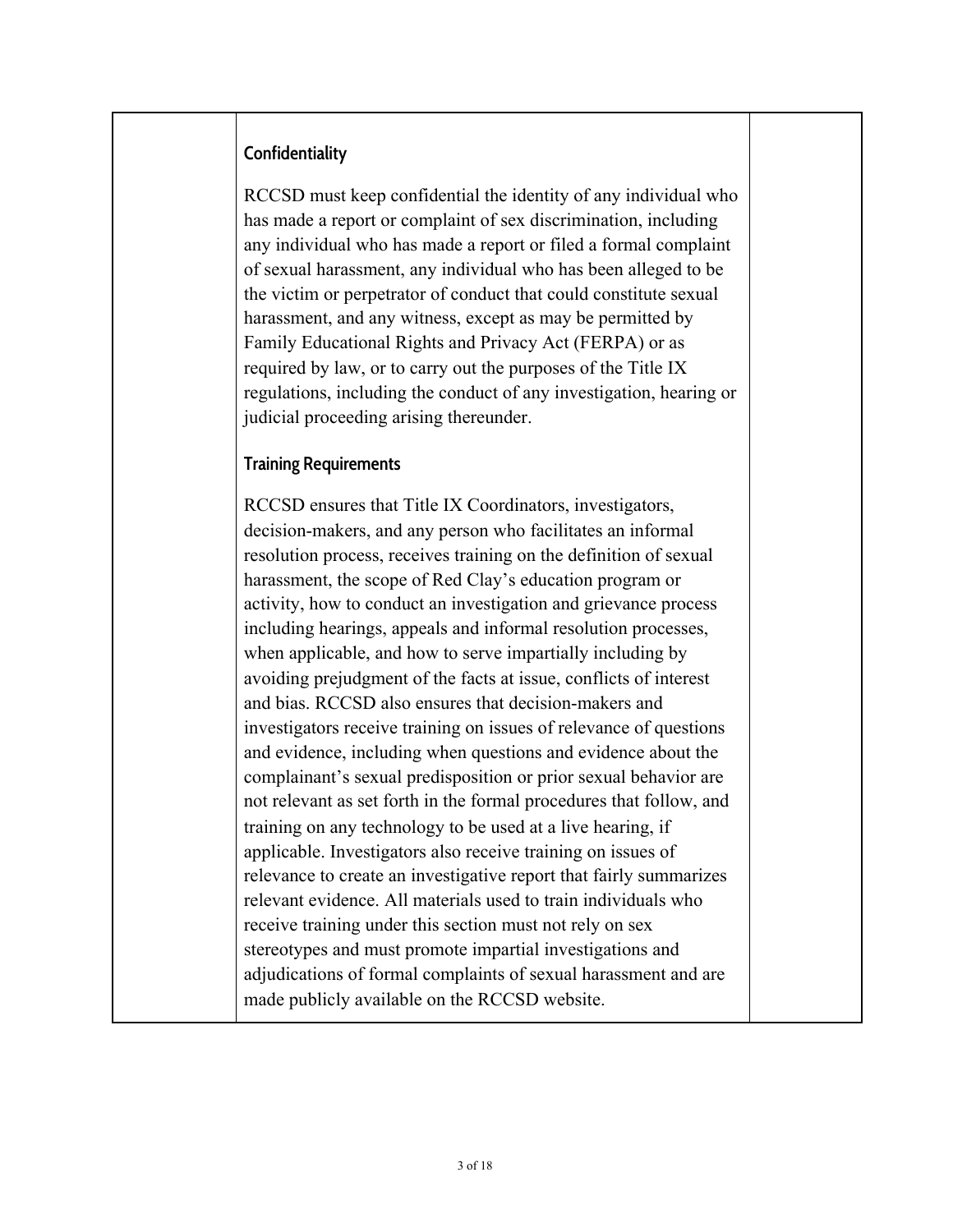## **Confidentiality**

RCCSD must keep confidential the identity of any individual who has made a report or complaint of sex discrimination, including any individual who has made a report or filed a formal complaint of sexual harassment, any individual who has been alleged to be the victim or perpetrator of conduct that could constitute sexual harassment, and any witness, except as may be permitted by Family Educational Rights and Privacy Act (FERPA) or as required by law, or to carry out the purposes of the Title IX regulations, including the conduct of any investigation, hearing or judicial proceeding arising thereunder.

#### **Training Requirements**

RCCSD ensures that Title IX Coordinators, investigators, decision-makers, and any person who facilitates an informal resolution process, receives training on the definition of sexual harassment, the scope of Red Clay's education program or activity, how to conduct an investigation and grievance process including hearings, appeals and informal resolution processes, when applicable, and how to serve impartially including by avoiding prejudgment of the facts at issue, conflicts of interest and bias. RCCSD also ensures that decision-makers and investigators receive training on issues of relevance of questions and evidence, including when questions and evidence about the complainant's sexual predisposition or prior sexual behavior are not relevant as set forth in the formal procedures that follow, and training on any technology to be used at a live hearing, if applicable. Investigators also receive training on issues of relevance to create an investigative report that fairly summarizes relevant evidence. All materials used to train individuals who receive training under this section must not rely on sex stereotypes and must promote impartial investigations and adjudications of formal complaints of sexual harassment and are made publicly available on the RCCSD website.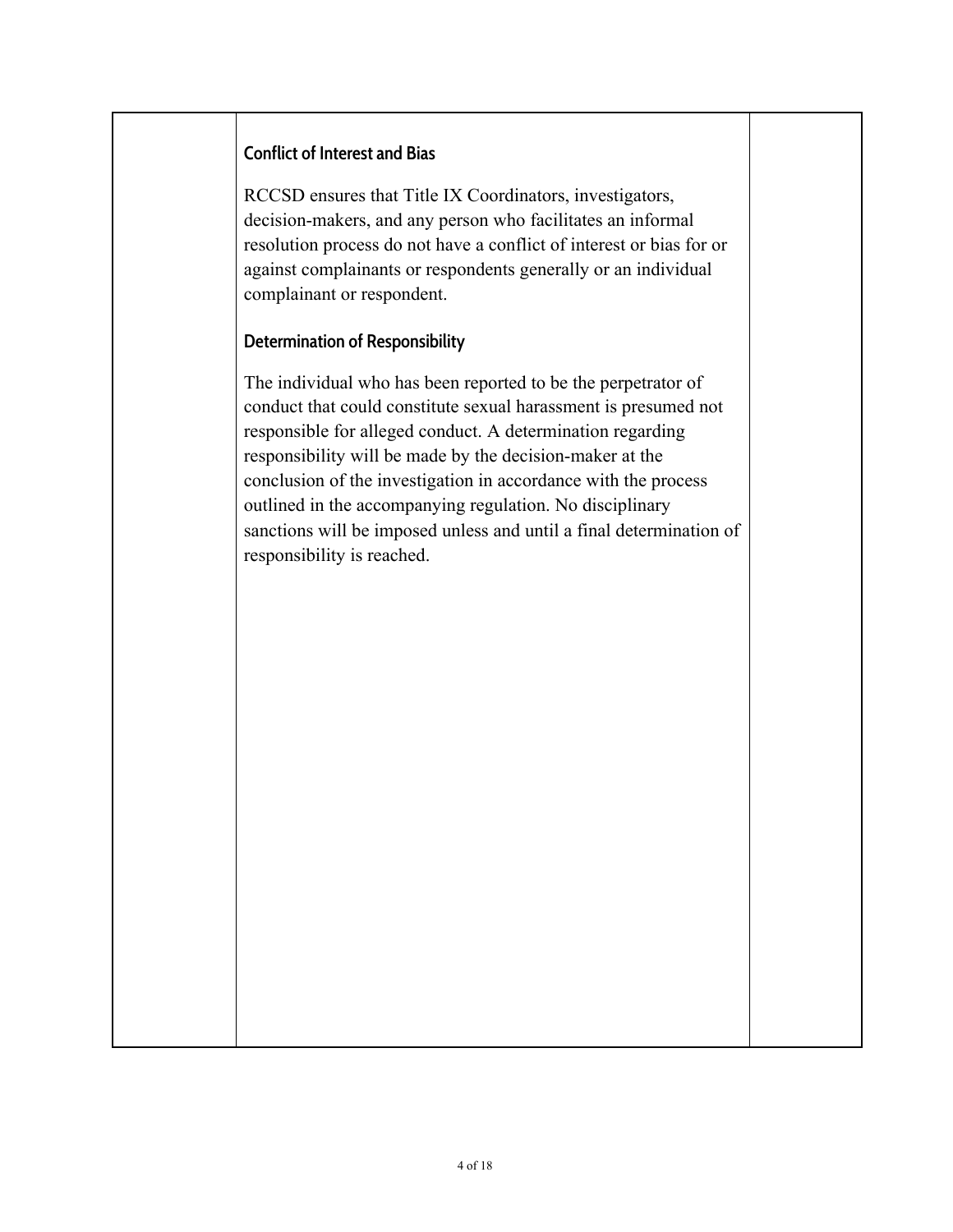#### **Conflict of Interest and Bias**

RCCSD ensures that Title IX Coordinators, investigators, decision-makers, and any person who facilitates an informal resolution process do not have a conflict of interest or bias for or against complainants or respondents generally or an individual complainant or respondent.

#### **Determination of Responsibility**

The individual who has been reported to be the perpetrator of conduct that could constitute sexual harassment is presumed not responsible for alleged conduct. A determination regarding responsibility will be made by the decision-maker at the conclusion of the investigation in accordance with the process outlined in the accompanying regulation. No disciplinary sanctions will be imposed unless and until a final determination of responsibility is reached.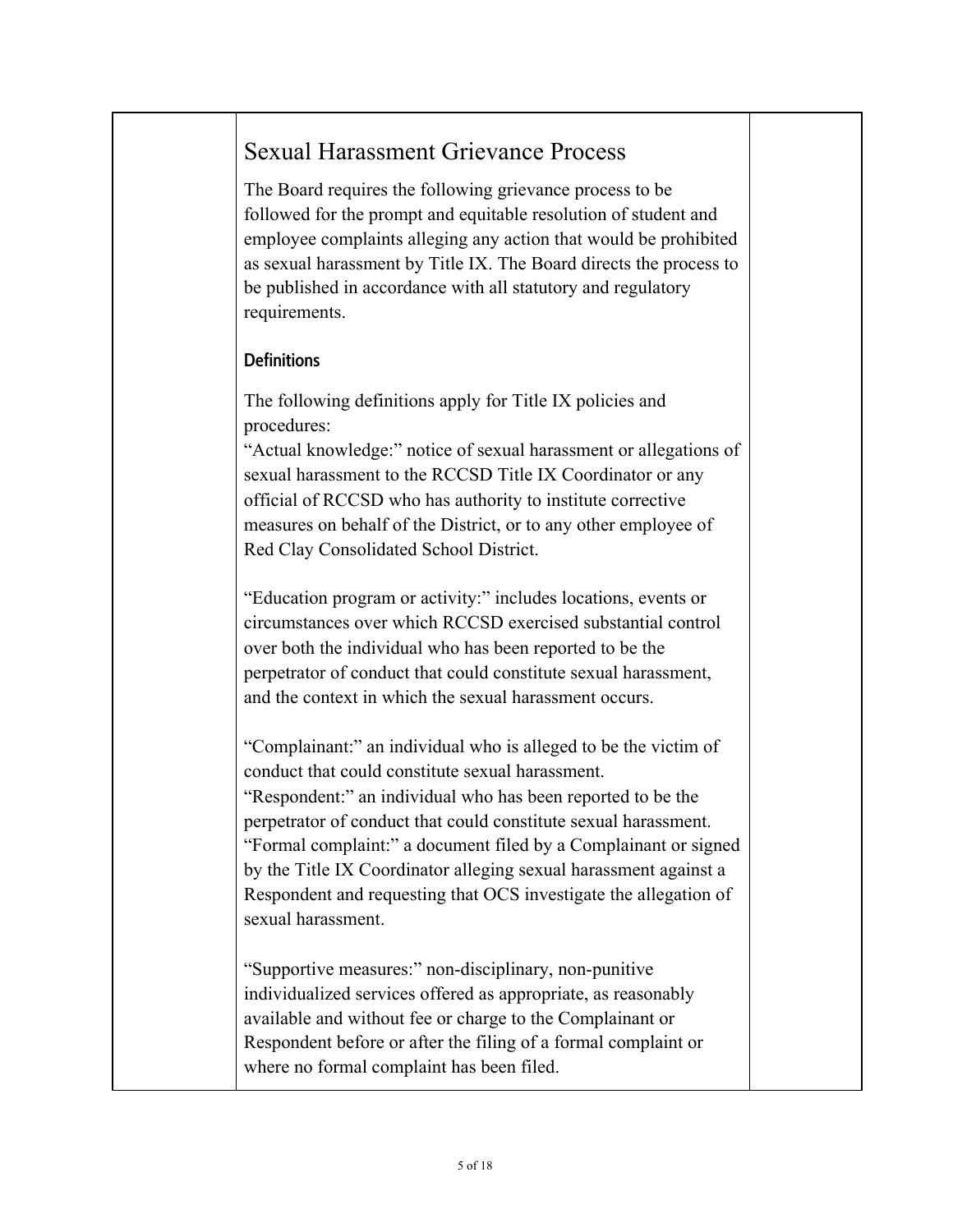# Sexual Harassment Grievance Process

The Board requires the following grievance process to be followed for the prompt and equitable resolution of student and employee complaints alleging any action that would be prohibited as sexual harassment by Title IX. The Board directs the process to be published in accordance with all statutory and regulatory requirements.

# **Definitions**

The following definitions apply for Title IX policies and procedures:

"Actual knowledge:" notice of sexual harassment or allegations of sexual harassment to the RCCSD Title IX Coordinator or any official of RCCSD who has authority to institute corrective measures on behalf of the District, or to any other employee of Red Clay Consolidated School District.

"Education program or activity:" includes locations, events or circumstances over which RCCSD exercised substantial control over both the individual who has been reported to be the perpetrator of conduct that could constitute sexual harassment, and the context in which the sexual harassment occurs.

"Complainant:" an individual who is alleged to be the victim of conduct that could constitute sexual harassment.

"Respondent:" an individual who has been reported to be the perpetrator of conduct that could constitute sexual harassment. "Formal complaint:" a document filed by a Complainant or signed by the Title IX Coordinator alleging sexual harassment against a Respondent and requesting that OCS investigate the allegation of sexual harassment.

"Supportive measures:" non-disciplinary, non-punitive individualized services offered as appropriate, as reasonably available and without fee or charge to the Complainant or Respondent before or after the filing of a formal complaint or where no formal complaint has been filed.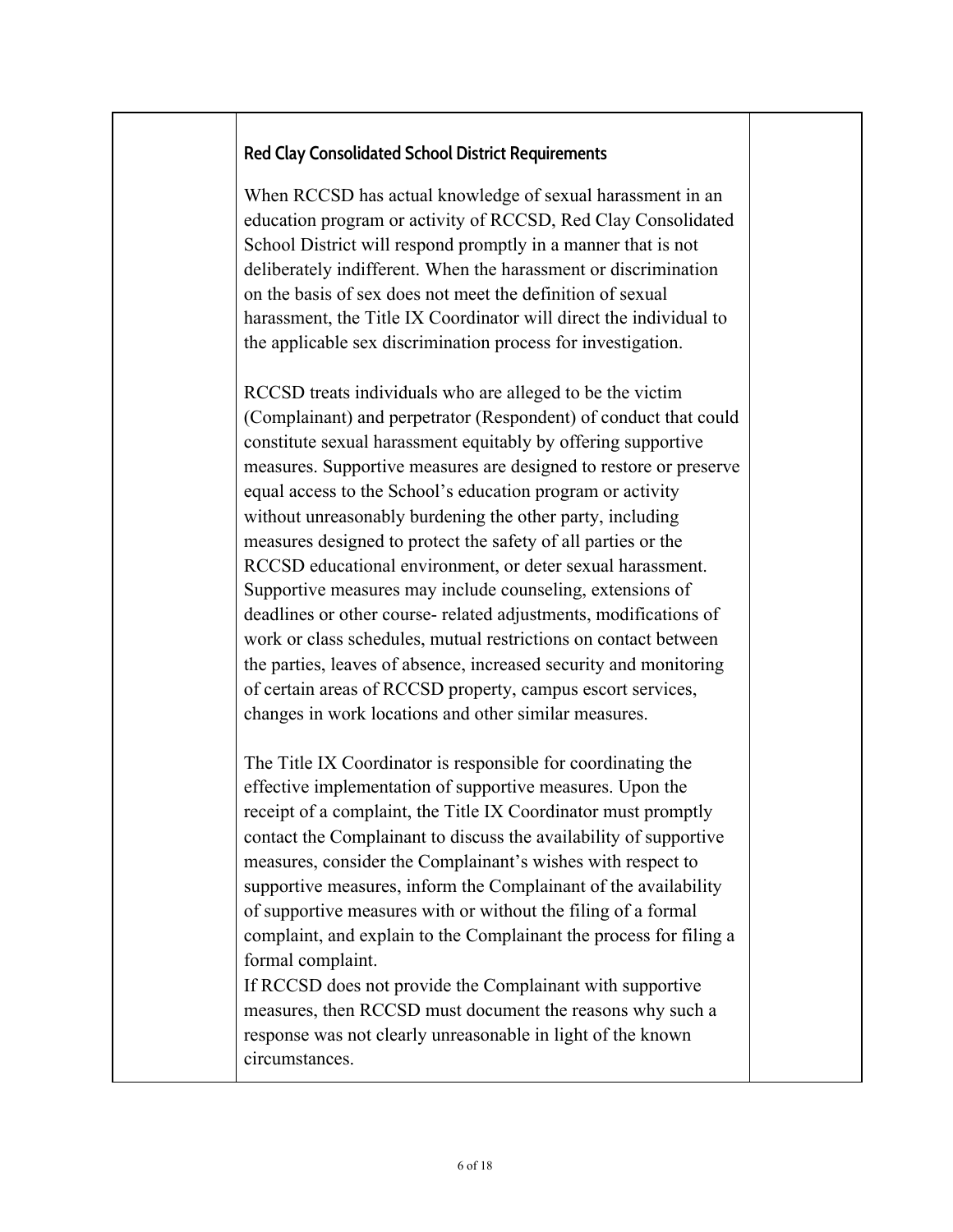## **Red Clay Consolidated School District Requirements**

When RCCSD has actual knowledge of sexual harassment in an education program or activity of RCCSD, Red Clay Consolidated School District will respond promptly in a manner that is not deliberately indifferent. When the harassment or discrimination on the basis of sex does not meet the definition of sexual harassment, the Title IX Coordinator will direct the individual to the applicable sex discrimination process for investigation.

RCCSD treats individuals who are alleged to be the victim (Complainant) and perpetrator (Respondent) of conduct that could constitute sexual harassment equitably by offering supportive measures. Supportive measures are designed to restore or preserve equal access to the School's education program or activity without unreasonably burdening the other party, including measures designed to protect the safety of all parties or the RCCSD educational environment, or deter sexual harassment. Supportive measures may include counseling, extensions of deadlines or other course- related adjustments, modifications of work or class schedules, mutual restrictions on contact between the parties, leaves of absence, increased security and monitoring of certain areas of RCCSD property, campus escort services, changes in work locations and other similar measures.

The Title IX Coordinator is responsible for coordinating the effective implementation of supportive measures. Upon the receipt of a complaint, the Title IX Coordinator must promptly contact the Complainant to discuss the availability of supportive measures, consider the Complainant's wishes with respect to supportive measures, inform the Complainant of the availability of supportive measures with or without the filing of a formal complaint, and explain to the Complainant the process for filing a formal complaint.

If RCCSD does not provide the Complainant with supportive measures, then RCCSD must document the reasons why such a response was not clearly unreasonable in light of the known circumstances.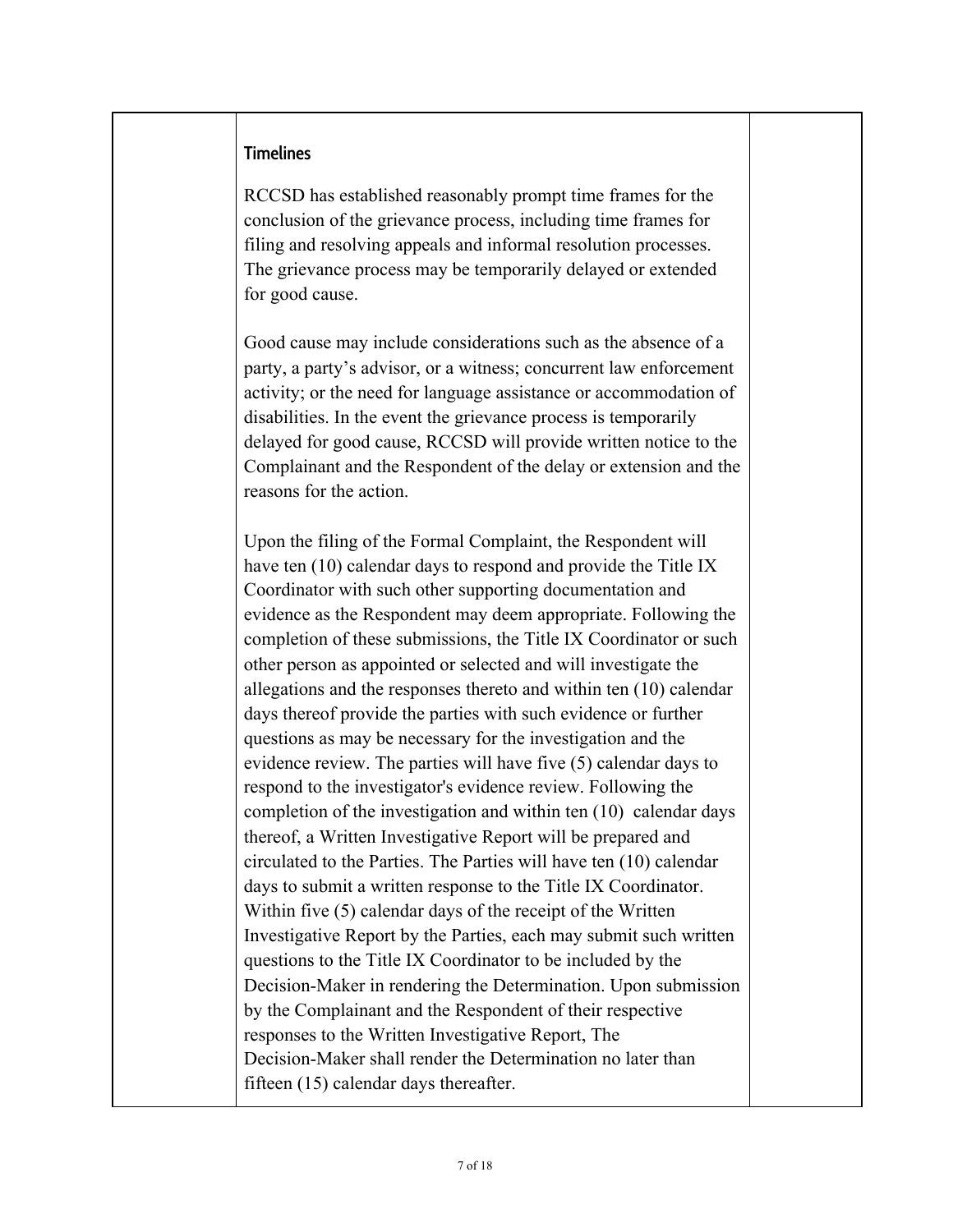#### **Timelines**

RCCSD has established reasonably prompt time frames for the conclusion of the grievance process, including time frames for filing and resolving appeals and informal resolution processes. The grievance process may be temporarily delayed or extended for good cause.

Good cause may include considerations such as the absence of a party, a party's advisor, or a witness; concurrent law enforcement activity; or the need for language assistance or accommodation of disabilities. In the event the grievance process is temporarily delayed for good cause, RCCSD will provide written notice to the Complainant and the Respondent of the delay or extension and the reasons for the action.

Upon the filing of the Formal Complaint, the Respondent will have ten (10) calendar days to respond and provide the Title IX Coordinator with such other supporting documentation and evidence as the Respondent may deem appropriate. Following the completion of these submissions, the Title IX Coordinator or such other person as appointed or selected and will investigate the allegations and the responses thereto and within ten (10) calendar days thereof provide the parties with such evidence or further questions as may be necessary for the investigation and the evidence review. The parties will have five (5) calendar days to respond to the investigator's evidence review. Following the completion of the investigation and within ten (10) calendar days thereof, a Written Investigative Report will be prepared and circulated to the Parties. The Parties will have ten (10) calendar days to submit a written response to the Title IX Coordinator. Within five (5) calendar days of the receipt of the Written Investigative Report by the Parties, each may submit such written questions to the Title IX Coordinator to be included by the Decision-Maker in rendering the Determination. Upon submission by the Complainant and the Respondent of their respective responses to the Written Investigative Report, The Decision-Maker shall render the Determination no later than fifteen (15) calendar days thereafter.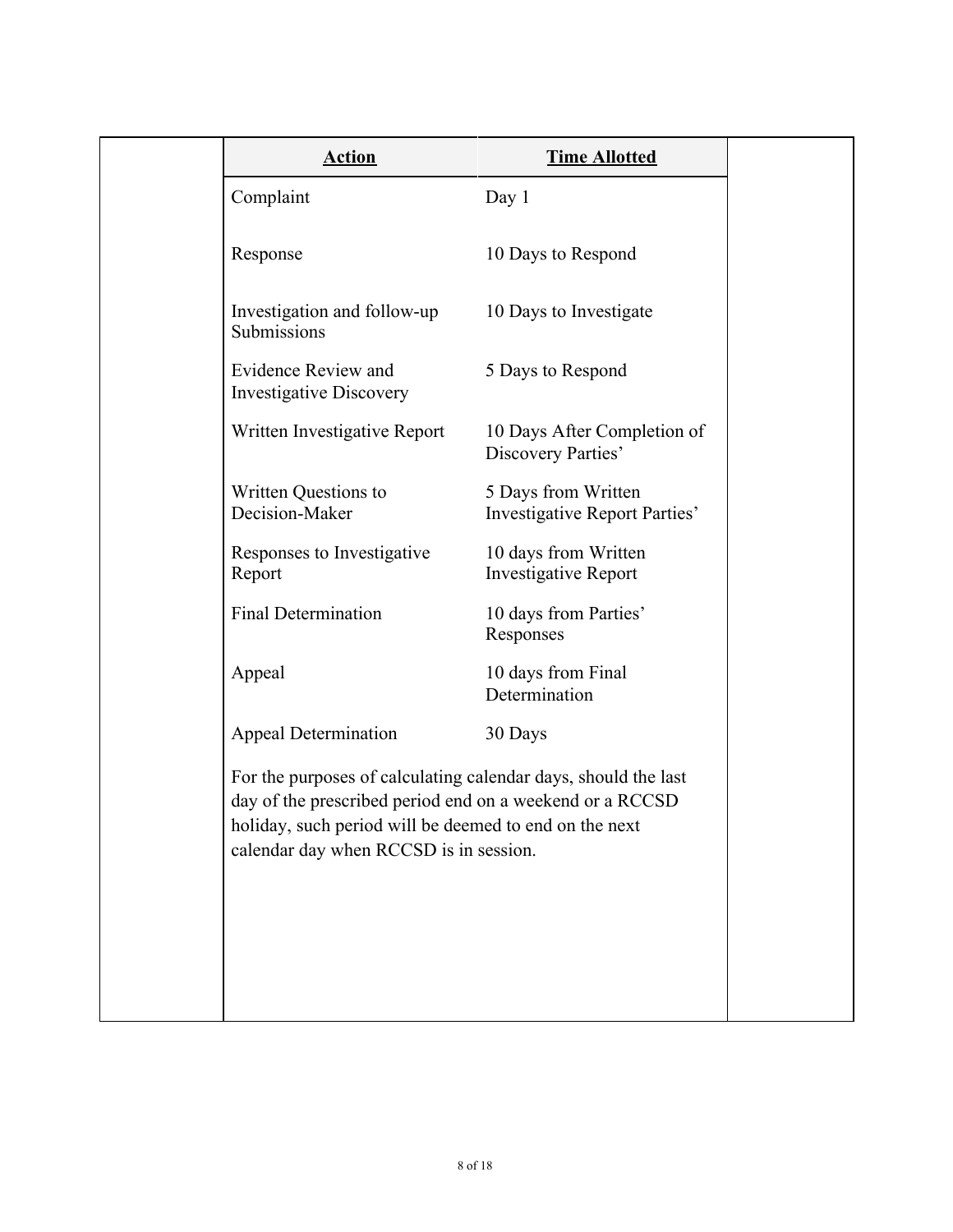| <b>Action</b>                                                                                                                                                                                                                  | <b>Time Allotted</b>                                 |
|--------------------------------------------------------------------------------------------------------------------------------------------------------------------------------------------------------------------------------|------------------------------------------------------|
| Complaint                                                                                                                                                                                                                      | Day $1$                                              |
| Response                                                                                                                                                                                                                       | 10 Days to Respond                                   |
| Investigation and follow-up<br>Submissions                                                                                                                                                                                     | 10 Days to Investigate                               |
| Evidence Review and<br><b>Investigative Discovery</b>                                                                                                                                                                          | 5 Days to Respond                                    |
| Written Investigative Report                                                                                                                                                                                                   | 10 Days After Completion of<br>Discovery Parties'    |
| Written Questions to<br>Decision-Maker                                                                                                                                                                                         | 5 Days from Written<br>Investigative Report Parties' |
| Responses to Investigative<br>Report                                                                                                                                                                                           | 10 days from Written<br><b>Investigative Report</b>  |
| <b>Final Determination</b>                                                                                                                                                                                                     | 10 days from Parties'<br>Responses                   |
| Appeal                                                                                                                                                                                                                         | 10 days from Final<br>Determination                  |
| <b>Appeal Determination</b>                                                                                                                                                                                                    | 30 Days                                              |
| For the purposes of calculating calendar days, should the last<br>day of the prescribed period end on a weekend or a RCCSD<br>holiday, such period will be deemed to end on the next<br>calendar day when RCCSD is in session. |                                                      |
|                                                                                                                                                                                                                                |                                                      |
|                                                                                                                                                                                                                                |                                                      |
|                                                                                                                                                                                                                                |                                                      |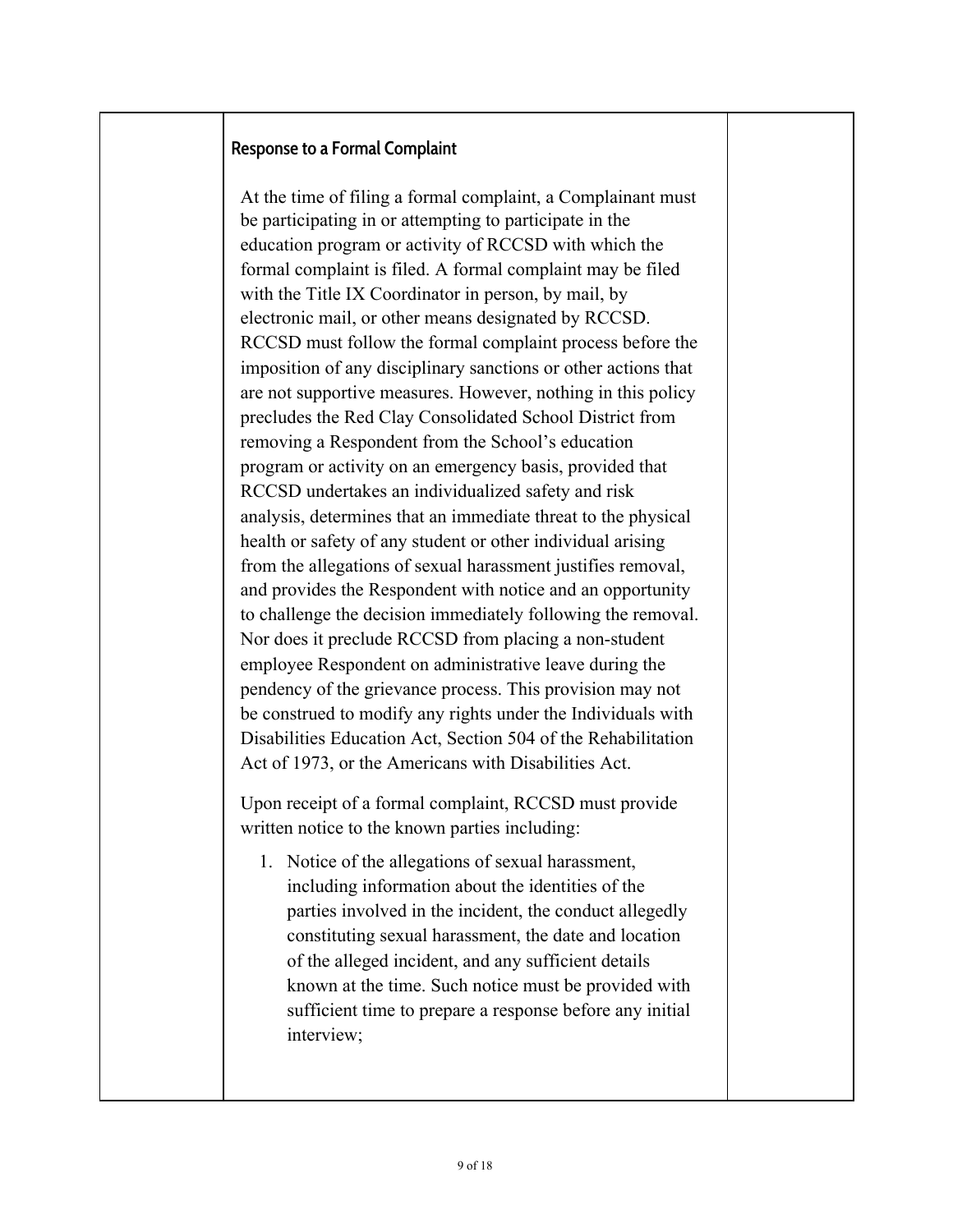#### **Response to a Formal Complaint**

At the time of filing a formal complaint, a Complainant must be participating in or attempting to participate in the education program or activity of RCCSD with which the formal complaint is filed. A formal complaint may be filed with the Title IX Coordinator in person, by mail, by electronic mail, or other means designated by RCCSD. RCCSD must follow the formal complaint process before the imposition of any disciplinary sanctions or other actions that are not supportive measures. However, nothing in this policy precludes the Red Clay Consolidated School District from removing a Respondent from the School's education program or activity on an emergency basis, provided that RCCSD undertakes an individualized safety and risk analysis, determines that an immediate threat to the physical health or safety of any student or other individual arising from the allegations of sexual harassment justifies removal, and provides the Respondent with notice and an opportunity to challenge the decision immediately following the removal. Nor does it preclude RCCSD from placing a non-student employee Respondent on administrative leave during the pendency of the grievance process. This provision may not be construed to modify any rights under the Individuals with Disabilities Education Act, Section 504 of the Rehabilitation Act of 1973, or the Americans with Disabilities Act.

Upon receipt of a formal complaint, RCCSD must provide written notice to the known parties including:

1. Notice of the allegations of sexual harassment, including information about the identities of the parties involved in the incident, the conduct allegedly constituting sexual harassment, the date and location of the alleged incident, and any sufficient details known at the time. Such notice must be provided with sufficient time to prepare a response before any initial interview;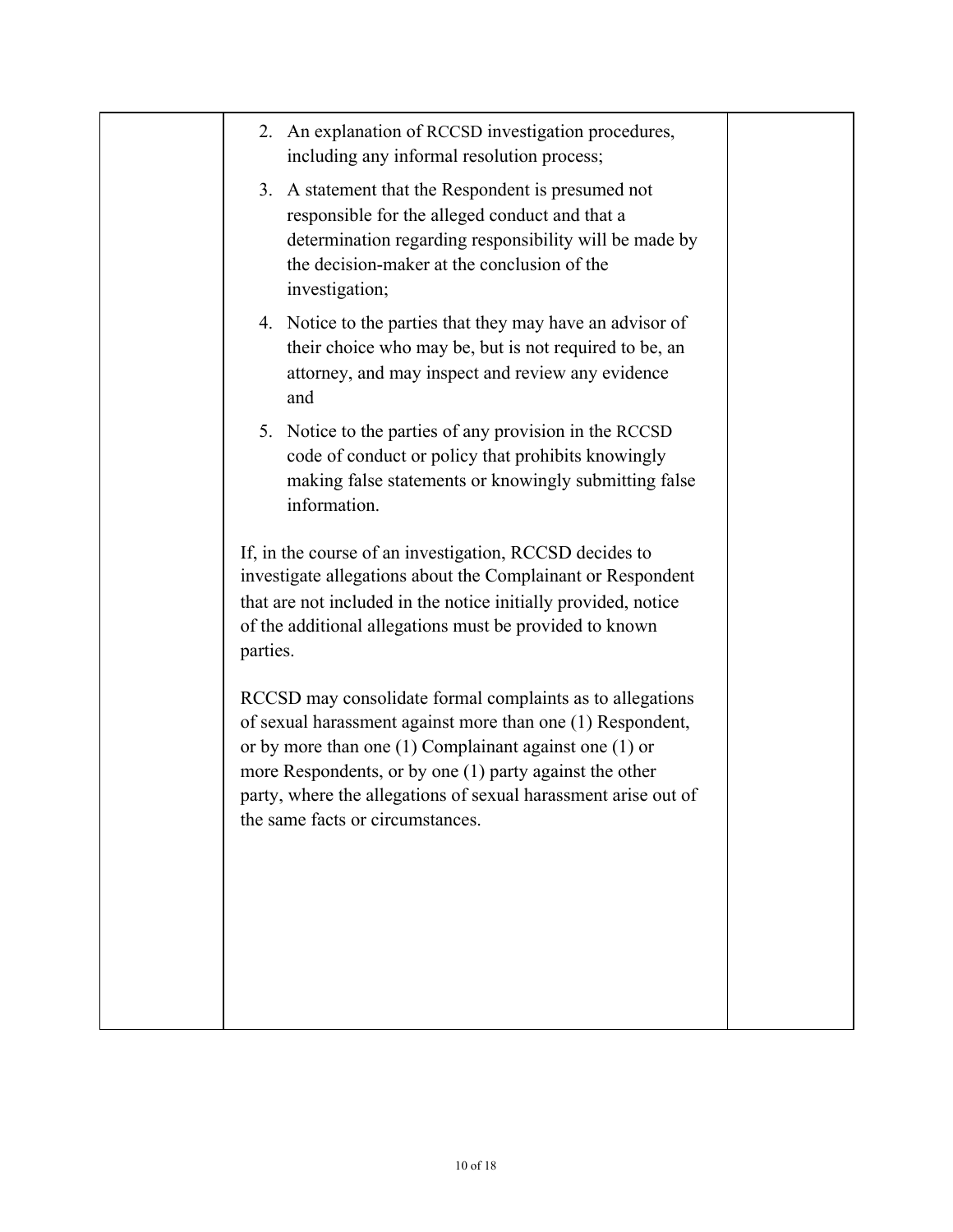|  | 2. An explanation of RCCSD investigation procedures,<br>including any informal resolution process;                                                                                                                                                                                                                                                     |  |
|--|--------------------------------------------------------------------------------------------------------------------------------------------------------------------------------------------------------------------------------------------------------------------------------------------------------------------------------------------------------|--|
|  | 3. A statement that the Respondent is presumed not<br>responsible for the alleged conduct and that a<br>determination regarding responsibility will be made by<br>the decision-maker at the conclusion of the<br>investigation;                                                                                                                        |  |
|  | 4. Notice to the parties that they may have an advisor of<br>their choice who may be, but is not required to be, an<br>attorney, and may inspect and review any evidence<br>and                                                                                                                                                                        |  |
|  | 5. Notice to the parties of any provision in the RCCSD<br>code of conduct or policy that prohibits knowingly<br>making false statements or knowingly submitting false<br>information.                                                                                                                                                                  |  |
|  | If, in the course of an investigation, RCCSD decides to<br>investigate allegations about the Complainant or Respondent<br>that are not included in the notice initially provided, notice<br>of the additional allegations must be provided to known<br>parties.                                                                                        |  |
|  | RCCSD may consolidate formal complaints as to allegations<br>of sexual harassment against more than one (1) Respondent,<br>or by more than one $(1)$ Complainant against one $(1)$ or<br>more Respondents, or by one (1) party against the other<br>party, where the allegations of sexual harassment arise out of<br>the same facts or circumstances. |  |
|  |                                                                                                                                                                                                                                                                                                                                                        |  |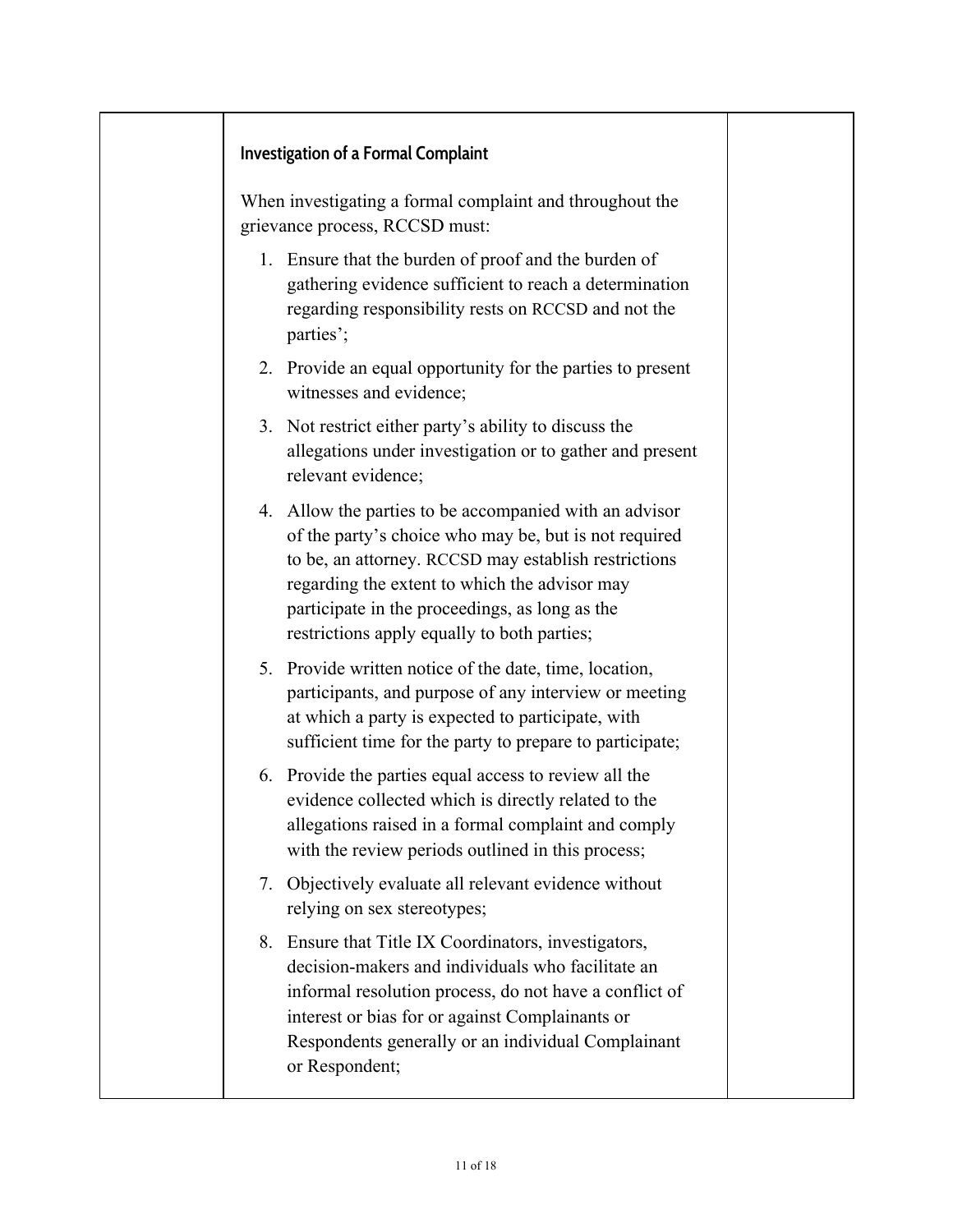#### **Investigation of a Formal Complaint**

When investigating a formal complaint and throughout the grievance process, RCCSD must:

- 1. Ensure that the burden of proof and the burden of gathering evidence sufficient to reach a determination regarding responsibility rests on RCCSD and not the parties';
- 2. Provide an equal opportunity for the parties to present witnesses and evidence;
- 3. Not restrict either party's ability to discuss the allegations under investigation or to gather and present relevant evidence;
- 4. Allow the parties to be accompanied with an advisor of the party's choice who may be, but is not required to be, an attorney. RCCSD may establish restrictions regarding the extent to which the advisor may participate in the proceedings, as long as the restrictions apply equally to both parties;
- 5. Provide written notice of the date, time, location, participants, and purpose of any interview or meeting at which a party is expected to participate, with sufficient time for the party to prepare to participate;
- 6. Provide the parties equal access to review all the evidence collected which is directly related to the allegations raised in a formal complaint and comply with the review periods outlined in this process;
- 7. Objectively evaluate all relevant evidence without relying on sex stereotypes;
- 8. Ensure that Title IX Coordinators, investigators, decision-makers and individuals who facilitate an informal resolution process, do not have a conflict of interest or bias for or against Complainants or Respondents generally or an individual Complainant or Respondent;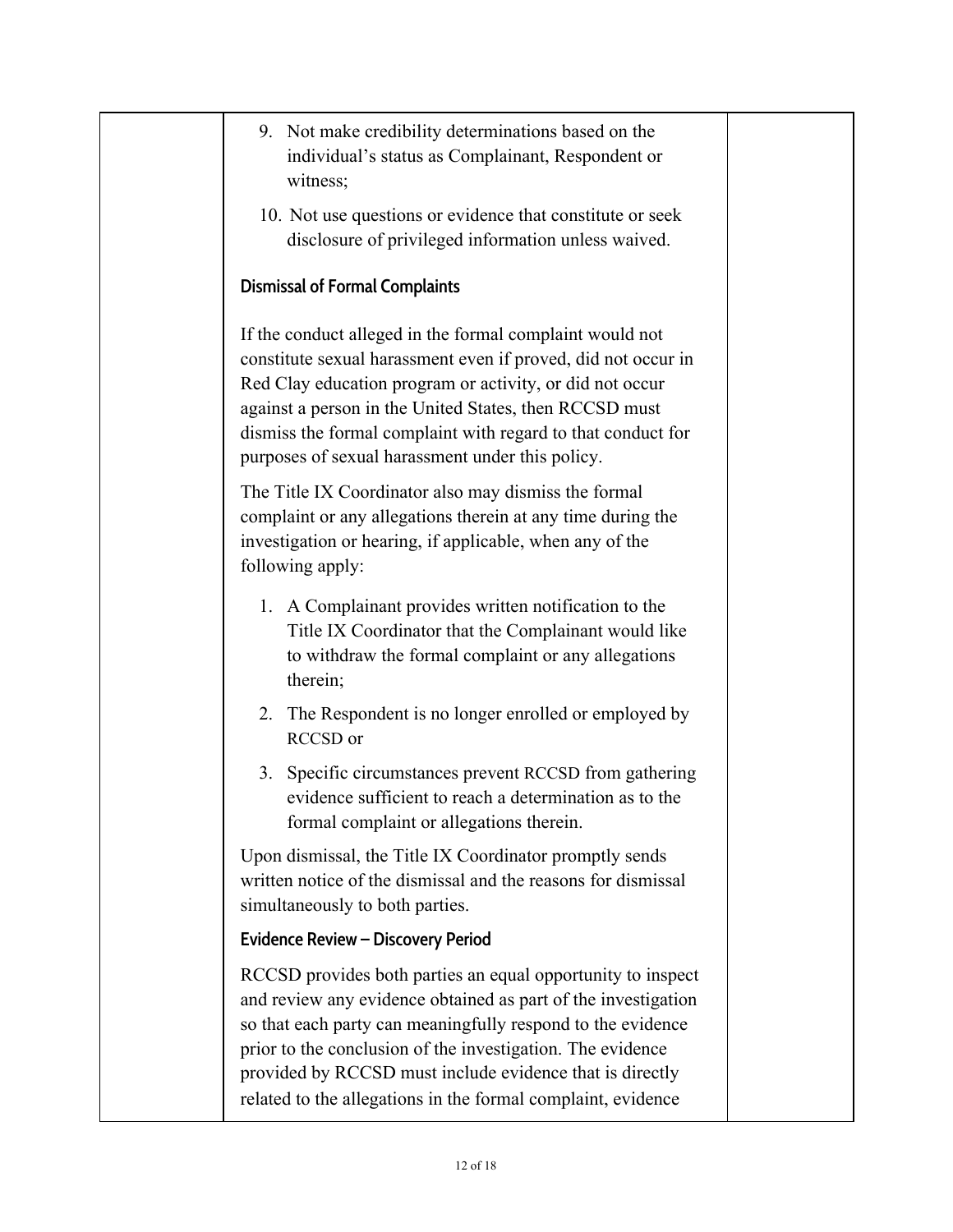- 9. Not make credibility determinations based on the individual's status as Complainant, Respondent or witness;
- 10. Not use questions or evidence that constitute or seek disclosure of privileged information unless waived.

# **Dismissal of Formal Complaints**

If the conduct alleged in the formal complaint would not constitute sexual harassment even if proved, did not occur in Red Clay education program or activity, or did not occur against a person in the United States, then RCCSD must dismiss the formal complaint with regard to that conduct for purposes of sexual harassment under this policy.

The Title IX Coordinator also may dismiss the formal complaint or any allegations therein at any time during the investigation or hearing, if applicable, when any of the following apply:

- 1. A Complainant provides written notification to the Title IX Coordinator that the Complainant would like to withdraw the formal complaint or any allegations therein;
- 2. The Respondent is no longer enrolled or employed by RCCSD or
- 3. Specific circumstances prevent RCCSD from gathering evidence sufficient to reach a determination as to the formal complaint or allegations therein.

Upon dismissal, the Title IX Coordinator promptly sends written notice of the dismissal and the reasons for dismissal simultaneously to both parties.

# **Evidence Review – Discovery Period**

RCCSD provides both parties an equal opportunity to inspect and review any evidence obtained as part of the investigation so that each party can meaningfully respond to the evidence prior to the conclusion of the investigation. The evidence provided by RCCSD must include evidence that is directly related to the allegations in the formal complaint, evidence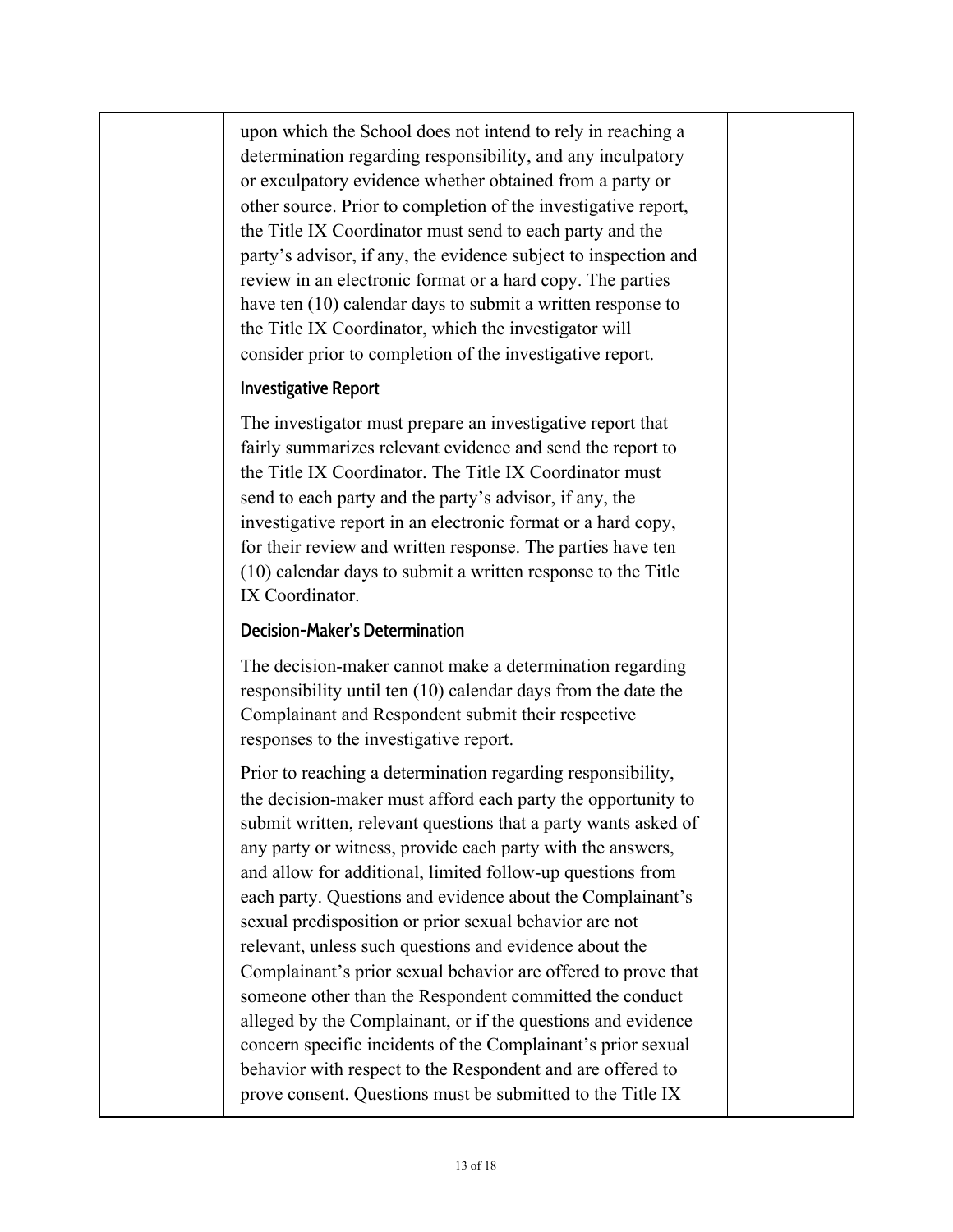upon which the School does not intend to rely in reaching a determination regarding responsibility, and any inculpatory or exculpatory evidence whether obtained from a party or other source. Prior to completion of the investigative report, the Title IX Coordinator must send to each party and the party's advisor, if any, the evidence subject to inspection and review in an electronic format or a hard copy. The parties have ten (10) calendar days to submit a written response to the Title IX Coordinator, which the investigator will consider prior to completion of the investigative report.

#### **Investigative Report**

The investigator must prepare an investigative report that fairly summarizes relevant evidence and send the report to the Title IX Coordinator. The Title IX Coordinator must send to each party and the party's advisor, if any, the investigative report in an electronic format or a hard copy, for their review and written response. The parties have ten (10) calendar days to submit a written response to the Title IX Coordinator.

#### **Decision-Maker's Determination**

The decision-maker cannot make a determination regarding responsibility until ten (10) calendar days from the date the Complainant and Respondent submit their respective responses to the investigative report.

Prior to reaching a determination regarding responsibility, the decision-maker must afford each party the opportunity to submit written, relevant questions that a party wants asked of any party or witness, provide each party with the answers, and allow for additional, limited follow-up questions from each party. Questions and evidence about the Complainant's sexual predisposition or prior sexual behavior are not relevant, unless such questions and evidence about the Complainant's prior sexual behavior are offered to prove that someone other than the Respondent committed the conduct alleged by the Complainant, or if the questions and evidence concern specific incidents of the Complainant's prior sexual behavior with respect to the Respondent and are offered to prove consent. Questions must be submitted to the Title IX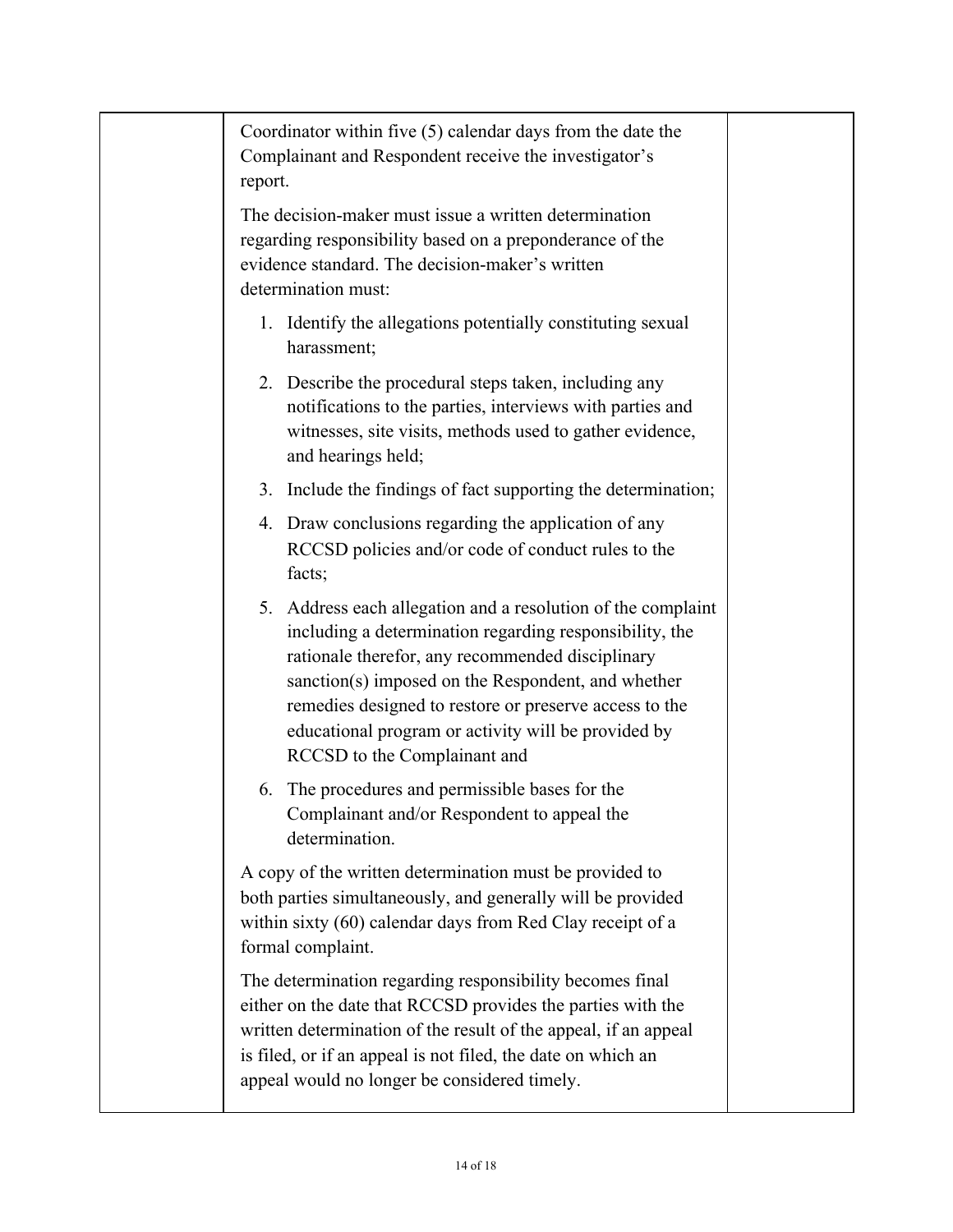| Coordinator within five $(5)$ calendar days from the date the<br>Complainant and Respondent receive the investigator's<br>report.                                                                                                                                                                                                                                                  |  |
|------------------------------------------------------------------------------------------------------------------------------------------------------------------------------------------------------------------------------------------------------------------------------------------------------------------------------------------------------------------------------------|--|
| The decision-maker must issue a written determination<br>regarding responsibility based on a preponderance of the<br>evidence standard. The decision-maker's written<br>determination must:                                                                                                                                                                                        |  |
| 1. Identify the allegations potentially constituting sexual<br>harassment;                                                                                                                                                                                                                                                                                                         |  |
| 2. Describe the procedural steps taken, including any<br>notifications to the parties, interviews with parties and<br>witnesses, site visits, methods used to gather evidence,<br>and hearings held;                                                                                                                                                                               |  |
| Include the findings of fact supporting the determination;<br>3.                                                                                                                                                                                                                                                                                                                   |  |
| 4. Draw conclusions regarding the application of any<br>RCCSD policies and/or code of conduct rules to the<br>facts;                                                                                                                                                                                                                                                               |  |
| 5. Address each allegation and a resolution of the complaint<br>including a determination regarding responsibility, the<br>rationale therefor, any recommended disciplinary<br>sanction(s) imposed on the Respondent, and whether<br>remedies designed to restore or preserve access to the<br>educational program or activity will be provided by<br>RCCSD to the Complainant and |  |
| The procedures and permissible bases for the<br>6.<br>Complainant and/or Respondent to appeal the<br>determination.                                                                                                                                                                                                                                                                |  |
| A copy of the written determination must be provided to<br>both parties simultaneously, and generally will be provided<br>within sixty (60) calendar days from Red Clay receipt of a<br>formal complaint.                                                                                                                                                                          |  |
| The determination regarding responsibility becomes final<br>either on the date that RCCSD provides the parties with the<br>written determination of the result of the appeal, if an appeal<br>is filed, or if an appeal is not filed, the date on which an<br>appeal would no longer be considered timely.                                                                         |  |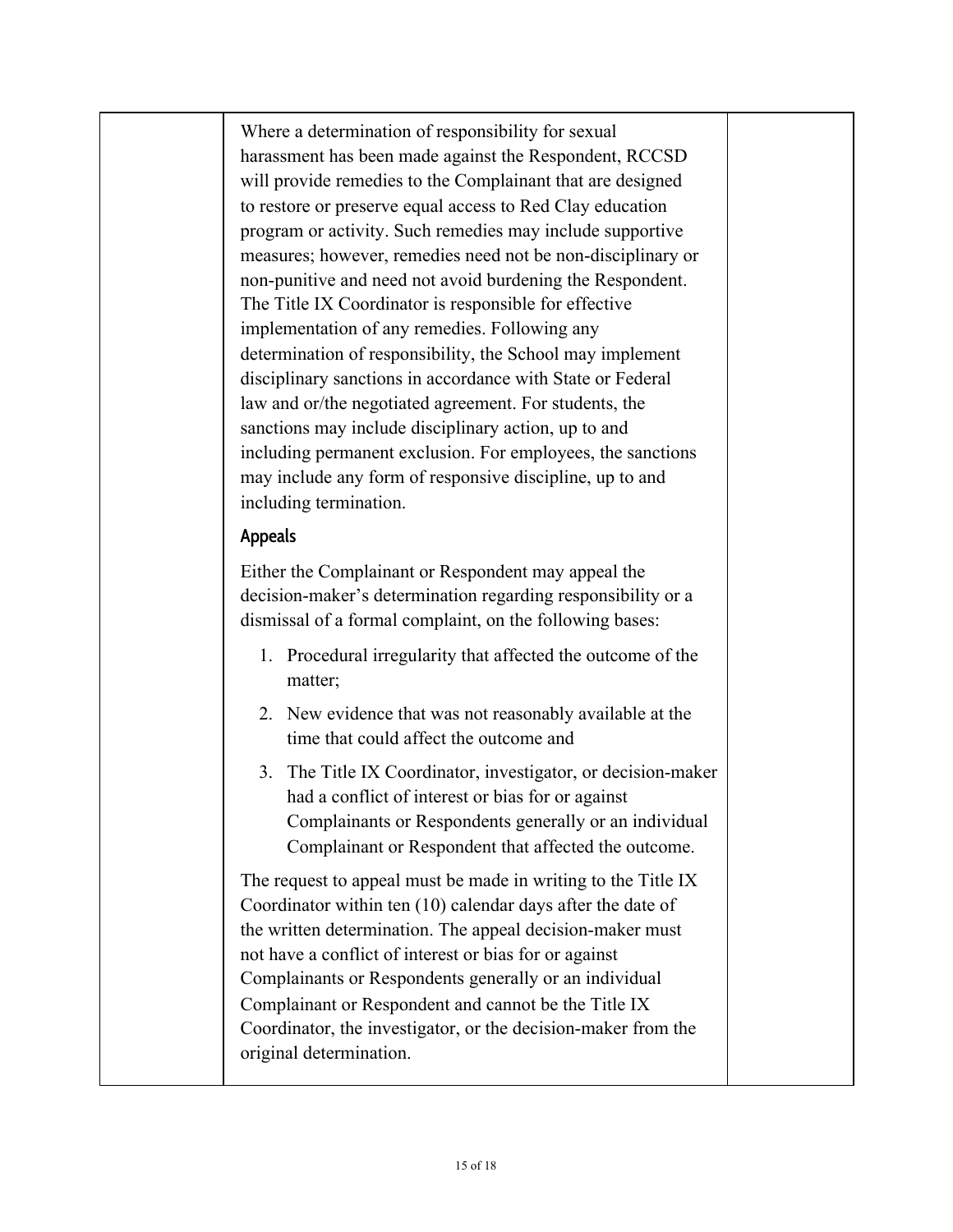Where a determination of responsibility for sexual harassment has been made against the Respondent, RCCSD will provide remedies to the Complainant that are designed to restore or preserve equal access to Red Clay education program or activity. Such remedies may include supportive measures; however, remedies need not be non-disciplinary or non-punitive and need not avoid burdening the Respondent. The Title IX Coordinator is responsible for effective implementation of any remedies. Following any determination of responsibility, the School may implement disciplinary sanctions in accordance with State or Federal law and or/the negotiated agreement. For students, the sanctions may include disciplinary action, up to and including permanent exclusion. For employees, the sanctions may include any form of responsive discipline, up to and including termination.

#### **Appeals**

Either the Complainant or Respondent may appeal the decision-maker's determination regarding responsibility or a dismissal of a formal complaint, on the following bases:

- 1. Procedural irregularity that affected the outcome of the matter;
- 2. New evidence that was not reasonably available at the time that could affect the outcome and
- 3. The Title IX Coordinator, investigator, or decision-maker had a conflict of interest or bias for or against Complainants or Respondents generally or an individual Complainant or Respondent that affected the outcome.

The request to appeal must be made in writing to the Title IX Coordinator within ten (10) calendar days after the date of the written determination. The appeal decision-maker must not have a conflict of interest or bias for or against Complainants or Respondents generally or an individual Complainant or Respondent and cannot be the Title IX Coordinator, the investigator, or the decision-maker from the original determination.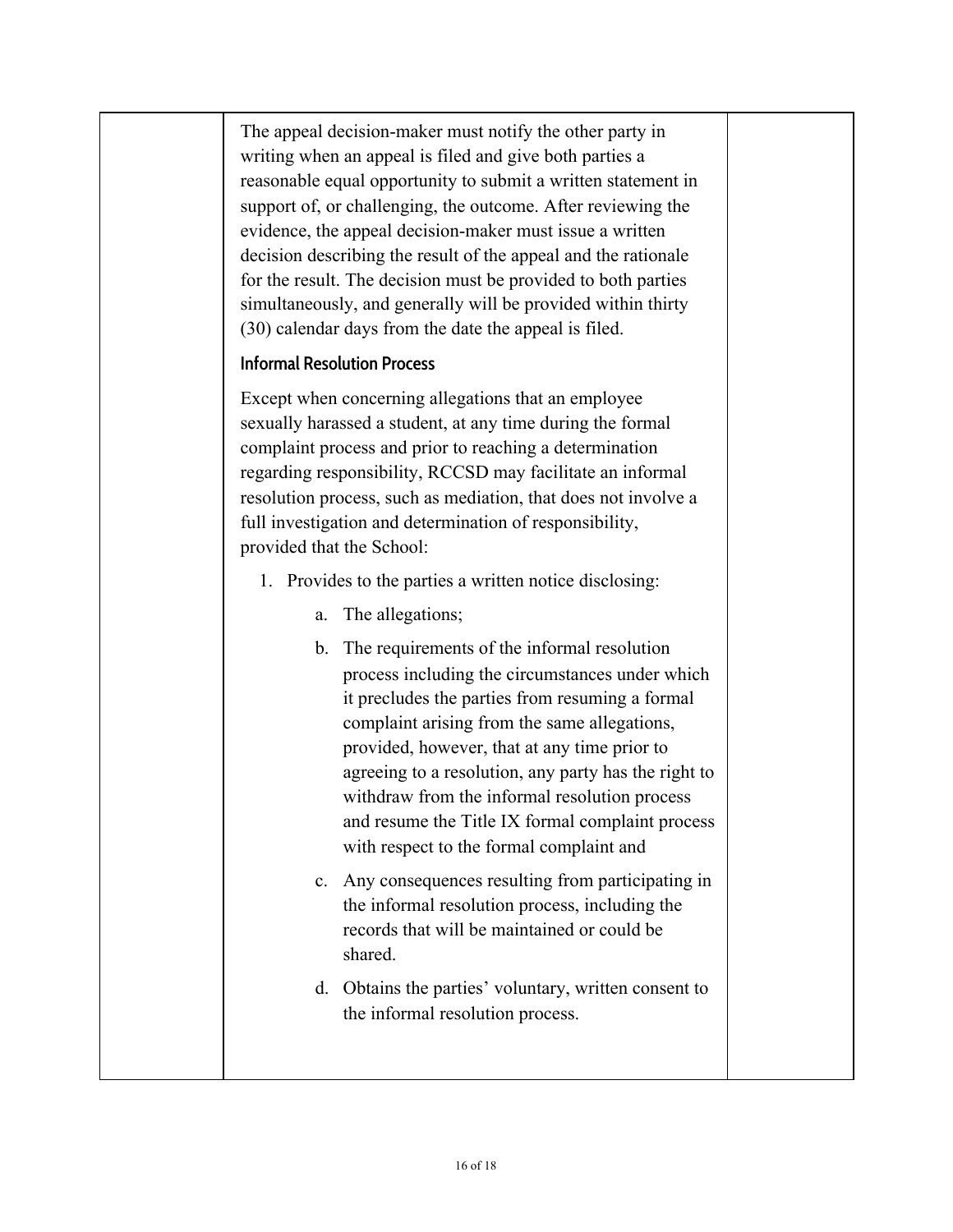The appeal decision-maker must notify the other party in writing when an appeal is filed and give both parties a reasonable equal opportunity to submit a written statement in support of, or challenging, the outcome. After reviewing the evidence, the appeal decision-maker must issue a written decision describing the result of the appeal and the rationale for the result. The decision must be provided to both parties simultaneously, and generally will be provided within thirty (30) calendar days from the date the appeal is filed.

# **Informal Resolution Process**

Except when concerning allegations that an employee sexually harassed a student, at any time during the formal complaint process and prior to reaching a determination regarding responsibility, RCCSD may facilitate an informal resolution process, such as mediation, that does not involve a full investigation and determination of responsibility, provided that the School:

- 1. Provides to the parties a written notice disclosing:
	- a. The allegations;
	- b. The requirements of the informal resolution process including the circumstances under which it precludes the parties from resuming a formal complaint arising from the same allegations, provided, however, that at any time prior to agreeing to a resolution, any party has the right to withdraw from the informal resolution process and resume the Title IX formal complaint process with respect to the formal complaint and
	- c. Any consequences resulting from participating in the informal resolution process, including the records that will be maintained or could be shared.
	- d. Obtains the parties' voluntary, written consent to the informal resolution process.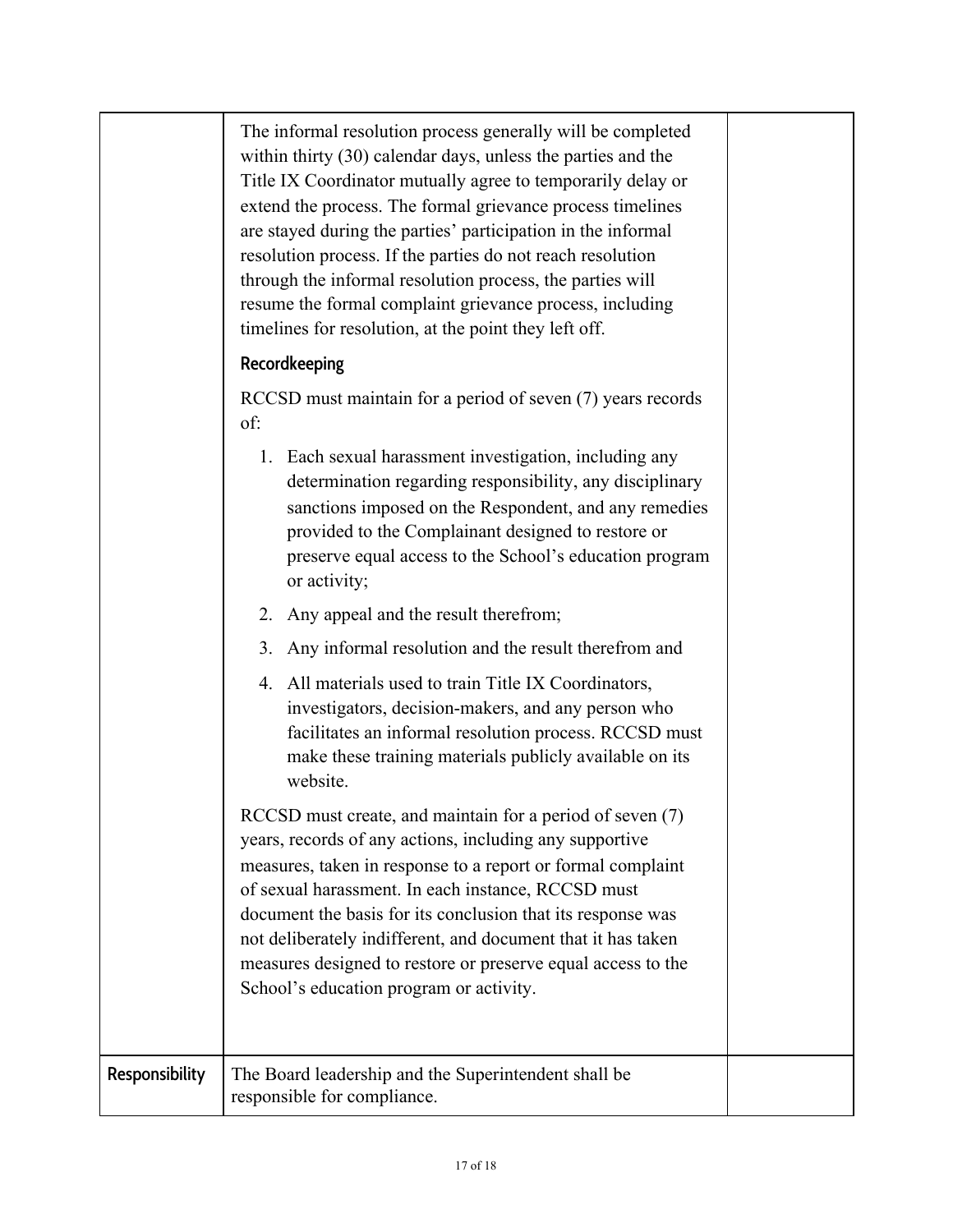|                | The informal resolution process generally will be completed<br>within thirty (30) calendar days, unless the parties and the<br>Title IX Coordinator mutually agree to temporarily delay or<br>extend the process. The formal grievance process timelines<br>are stayed during the parties' participation in the informal<br>resolution process. If the parties do not reach resolution<br>through the informal resolution process, the parties will<br>resume the formal complaint grievance process, including<br>timelines for resolution, at the point they left off.<br>Recordkeeping |  |
|----------------|-------------------------------------------------------------------------------------------------------------------------------------------------------------------------------------------------------------------------------------------------------------------------------------------------------------------------------------------------------------------------------------------------------------------------------------------------------------------------------------------------------------------------------------------------------------------------------------------|--|
|                | RCCSD must maintain for a period of seven (7) years records<br>of:                                                                                                                                                                                                                                                                                                                                                                                                                                                                                                                        |  |
|                | 1. Each sexual harassment investigation, including any<br>determination regarding responsibility, any disciplinary<br>sanctions imposed on the Respondent, and any remedies<br>provided to the Complainant designed to restore or<br>preserve equal access to the School's education program<br>or activity;                                                                                                                                                                                                                                                                              |  |
|                | Any appeal and the result therefrom;<br>2.                                                                                                                                                                                                                                                                                                                                                                                                                                                                                                                                                |  |
|                | Any informal resolution and the result therefrom and<br>3.                                                                                                                                                                                                                                                                                                                                                                                                                                                                                                                                |  |
|                | 4. All materials used to train Title IX Coordinators,<br>investigators, decision-makers, and any person who<br>facilitates an informal resolution process. RCCSD must<br>make these training materials publicly available on its<br>website.                                                                                                                                                                                                                                                                                                                                              |  |
|                | RCCSD must create, and maintain for a period of seven (7)<br>years, records of any actions, including any supportive<br>measures, taken in response to a report or formal complaint<br>of sexual harassment. In each instance, RCCSD must<br>document the basis for its conclusion that its response was<br>not deliberately indifferent, and document that it has taken<br>measures designed to restore or preserve equal access to the<br>School's education program or activity.                                                                                                       |  |
| Responsibility | The Board leadership and the Superintendent shall be<br>responsible for compliance.                                                                                                                                                                                                                                                                                                                                                                                                                                                                                                       |  |